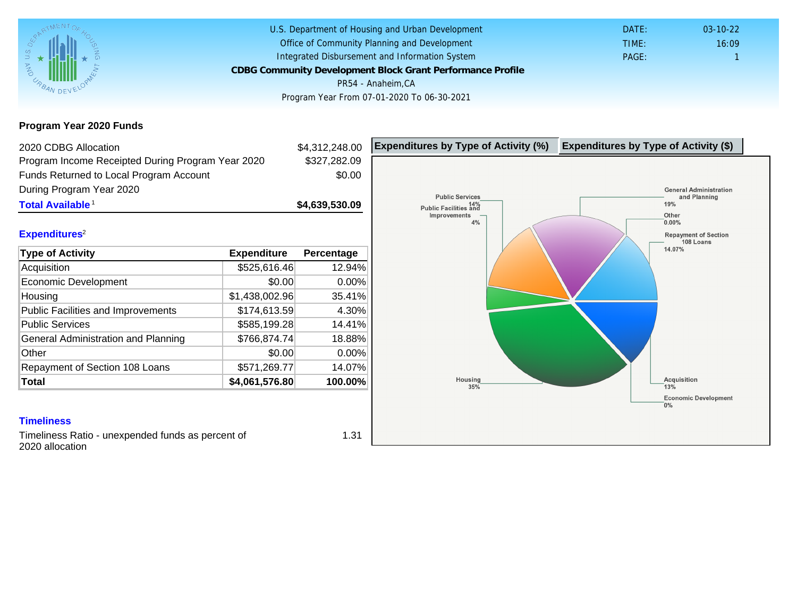Program Year 2020 Funds

| 2020 CDBG Allocation                              |                | \$4,312,248.00 | Expenditures by Type of Activity (%) | Expenditure |
|---------------------------------------------------|----------------|----------------|--------------------------------------|-------------|
| Program Income Receipted During Program Year 2020 |                | \$327,282.09   |                                      |             |
| Funds Returned to Local Program Account           |                | \$0.00         |                                      |             |
| During Program Year 2020                          |                |                |                                      |             |
| Total Available <sup>1</sup>                      |                | \$4,639,530.09 |                                      |             |
|                                                   |                |                |                                      |             |
| Expenditures <sup>2</sup>                         |                |                |                                      |             |
| Type of Activity                                  | Expenditure    | Percentage     |                                      |             |
| Acquisition                                       | \$525,616.46   | 12.94%         |                                      |             |
| Economic Development                              | \$0.00         | $0.00\%$       |                                      |             |
| Housing                                           | \$1,438,002.96 | 35.41%         |                                      |             |
| Public Facilities and Improvements                | \$174,613.59   | 4.30%          |                                      |             |
| <b>Public Services</b>                            | \$585,199.28   | 14.41%         |                                      |             |
| General Administration and Planning               | \$766,874.74   | 18.88%         |                                      |             |
| Other                                             | \$0.00         | 0.00%          |                                      |             |
| Repayment of Section 108 Loans                    | \$571,269.77   | 14.07%         |                                      |             |
| Total                                             | \$4,061,576.80 | 100.00%        |                                      |             |

### **Timeliness**

Timeliness Ratio - unexpended funds as percent of 2020 allocation

1.31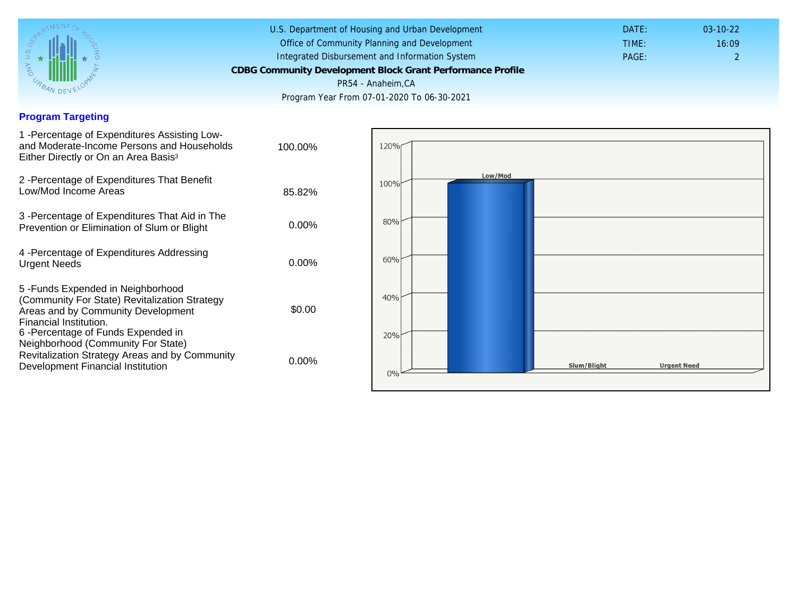## Program Targeting

| 1 - Percentage of Expenditures Assisting Low-<br>and Moderate-Income Persons and Households<br>Either Directly or On an Area Basis <sup>3</sup>                                                                              | 100.00%  |
|------------------------------------------------------------------------------------------------------------------------------------------------------------------------------------------------------------------------------|----------|
| 2 - Percentage of Expenditures That Benefit<br>Low/Mod Income Areas                                                                                                                                                          | 85.82%   |
| 3 -Percentage of Expenditures That Aid in The<br>Prevention or Elimination of Slum or Blight                                                                                                                                 | $0.00\%$ |
| 4 - Percentage of Expenditures Addressing<br><b>Urgent Needs</b>                                                                                                                                                             | $0.00\%$ |
| 5-Funds Expended in Neighborhood<br>(Community For State) Revitalization Strategy<br>Areas and by Community Development<br>Financial Institution.<br>6-Percentage of Funds Expended in<br>Neighborhood (Community For State) | \$0.00   |
| Revitalization Strategy Areas and by Community<br>Development Financial Institution                                                                                                                                          | $0.00\%$ |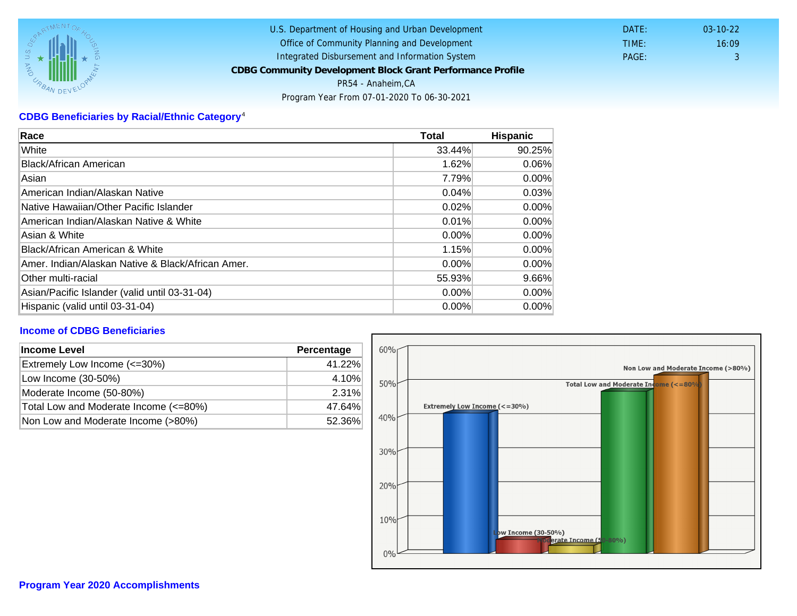# CDBG Beneficiaries by Racial/Ethnic Category <sup>4</sup>

| Race                                              | Total    | Hispanic |
|---------------------------------------------------|----------|----------|
| White                                             | 33.44%   | 90.25%   |
| Black/African American                            | 1.62%    | 0.06%    |
| Asian                                             | 7.79%    | $0.00\%$ |
| American Indian/Alaskan Native                    | 0.04%    | 0.03%    |
| Native Hawaiian/Other Pacific Islander            | 0.02%    | $0.00\%$ |
| American Indian/Alaskan Native & White            | 0.01%    | $0.00\%$ |
| Asian & White                                     | 0.00%    | 0.00%    |
| Black/African American & White                    | 1.15%    | $0.00\%$ |
| Amer. Indian/Alaskan Native & Black/African Amer. | $0.00\%$ | $0.00\%$ |
| <b>Other multi-racial</b>                         | 55.93%   | 9.66%    |
| Asian/Pacific Islander (valid until 03-31-04)     | $0.00\%$ | 0.00%    |
| Hispanic (valid until 03-31-04)                   | 0.00%    | 0.00%    |

## Income of CDBG Beneficiaries

| Income Level                          | Percentage |
|---------------------------------------|------------|
| Extremely Low Income (<=30%)          | 41.22%     |
| Low Income (30-50%)                   | 4.10%      |
| Moderate Income (50-80%)              | 2.31%      |
| Total Low and Moderate Income (<=80%) | 47.64%     |
| Non Low and Moderate Income (>80%)    | 52.36%     |